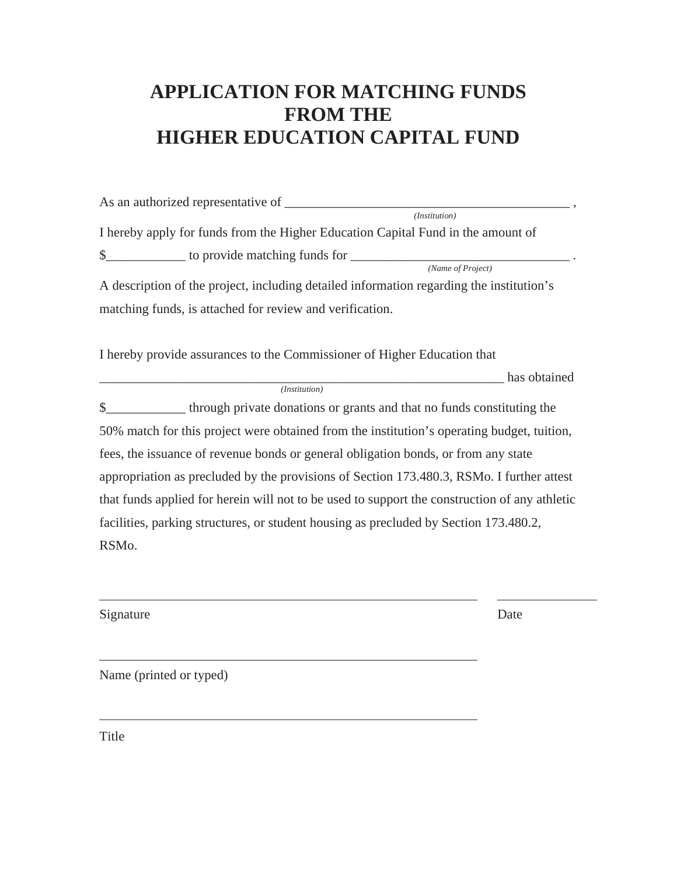# **APPLICATION FOR MATCHING FUNDS FROM THE HIGHER EDUCATION CAPITAL FUND**

| (Institution)                                                                                 |  |  |  |  |
|-----------------------------------------------------------------------------------------------|--|--|--|--|
| I hereby apply for funds from the Higher Education Capital Fund in the amount of              |  |  |  |  |
|                                                                                               |  |  |  |  |
| (Name of Project)                                                                             |  |  |  |  |
| A description of the project, including detailed information regarding the institution's      |  |  |  |  |
| matching funds, is attached for review and verification.                                      |  |  |  |  |
| I hereby provide assurances to the Commissioner of Higher Education that<br>has obtained      |  |  |  |  |
| (Institution)                                                                                 |  |  |  |  |
| \$_________________ through private donations or grants and that no funds constituting the    |  |  |  |  |
| 50% match for this project were obtained from the institution's operating budget, tuition,    |  |  |  |  |
| fees, the issuance of revenue bonds or general obligation bonds, or from any state            |  |  |  |  |
| appropriation as precluded by the provisions of Section 173.480.3, RSMo. I further attest     |  |  |  |  |
| that funds applied for herein will not to be used to support the construction of any athletic |  |  |  |  |
| facilities, parking structures, or student housing as precluded by Section 173.480.2,         |  |  |  |  |

RSMo.

Signature Date

Name (printed or typed)

Title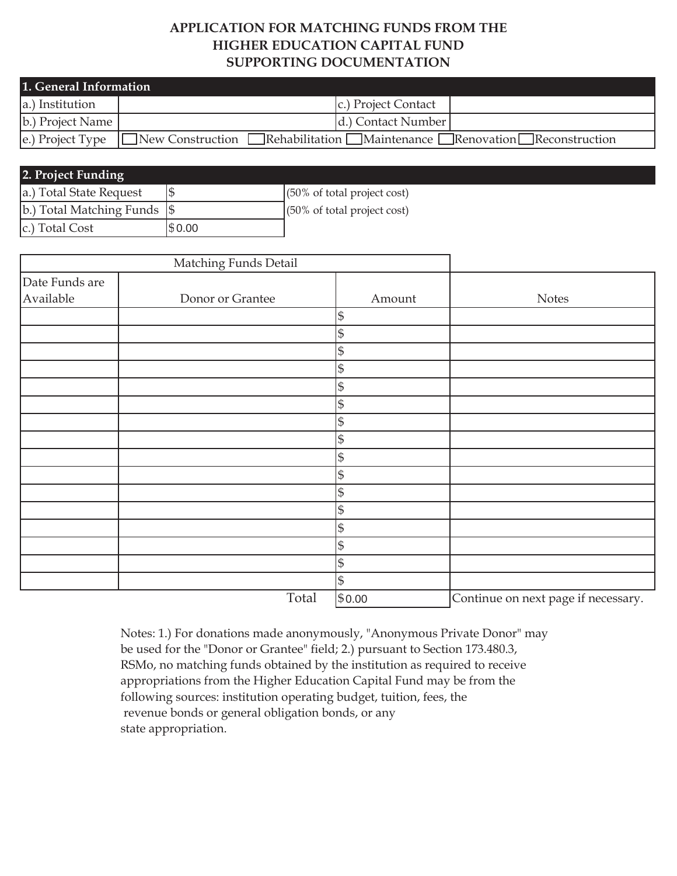## **APPLICATION FOR MATCHING FUNDS FROM THE HIGHER EDUCATION CAPITAL FUND SUPPORTING DOCUMENTATION**

| 1. General Information |                                          |                     |                                                                            |  |
|------------------------|------------------------------------------|---------------------|----------------------------------------------------------------------------|--|
| a.) Institution        |                                          | c.) Project Contact |                                                                            |  |
| b.) Project Name       |                                          | d.) Contact Number  |                                                                            |  |
|                        | e.) Project Type $\Box$ New Construction |                     | <b>Example 18</b> Renovation Example: TRenovation Example: TReconstruction |  |

| 2. Project Funding                   |        |                                        |  |  |  |  |
|--------------------------------------|--------|----------------------------------------|--|--|--|--|
| a.) Total State Request              |        | $(50\% \text{ of total project cost})$ |  |  |  |  |
| $ b $ .) Total Matching Funds $ $ \$ |        | $(50\% \text{ of total project cost})$ |  |  |  |  |
| c.) Total Cost                       | \$0.00 |                                        |  |  |  |  |

|                             | Matching Funds Detail |                |                                     |
|-----------------------------|-----------------------|----------------|-------------------------------------|
| Date Funds are<br>Available | Donor or Grantee      | Amount         | <b>Notes</b>                        |
|                             |                       | $\mathfrak{S}$ |                                     |
|                             |                       | $\mathfrak{S}$ |                                     |
|                             |                       | \$             |                                     |
|                             |                       | $\mathfrak s$  |                                     |
|                             |                       | $\mathsf{\$}$  |                                     |
|                             |                       | $\mathfrak{S}$ |                                     |
|                             |                       | $\mathsf{\$}$  |                                     |
|                             |                       | $\mathsf{\$}$  |                                     |
|                             |                       | $\mathfrak{S}$ |                                     |
|                             |                       | $\mathfrak{S}$ |                                     |
|                             |                       | \$             |                                     |
|                             |                       | $\mathfrak{S}$ |                                     |
|                             |                       | $\mathfrak{S}$ |                                     |
|                             |                       | $\mathsf{\$}$  |                                     |
|                             |                       | $\mathsf{\$}$  |                                     |
|                             |                       | $\$\$          |                                     |
|                             | Total                 | \$0.00         | Continue on next page if necessary. |

Notes: 1.) For donations made anonymously, "Anonymous Private Donor" may be used for the "Donor or Grantee" field; 2.) pursuant to Section 173.480.3, RSMo, no matching funds obtained by the institution as required to receive appropriations from the Higher Education Capital Fund may be from the following sources: institution operating budget, tuition, fees, the revenue bonds or general obligation bonds, or any state appropriation.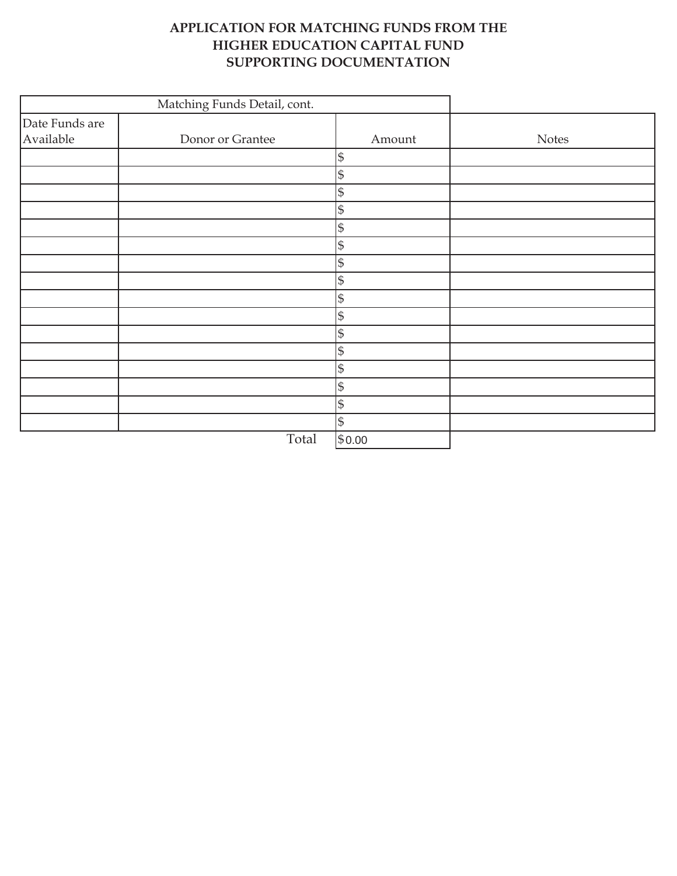# **APPLICATION FOR MATCHING FUNDS FROM THE HIGHER EDUCATION CAPITAL FUND SUPPORTING DOCUMENTATION**

|                             | Matching Funds Detail, cont. |                |              |
|-----------------------------|------------------------------|----------------|--------------|
| Date Funds are<br>Available | Donor or Grantee             | Amount         | <b>Notes</b> |
|                             |                              | $\mathfrak{S}$ |              |
|                             |                              | $\mathfrak{S}$ |              |
|                             |                              | $\mathbb{S}$   |              |
|                             |                              | $\mathbb{S}$   |              |
|                             |                              | $\mathfrak{S}$ |              |
|                             |                              | $\mathbb{S}$   |              |
|                             |                              | $\mathbb{S}$   |              |
|                             |                              | $\mathfrak S$  |              |
|                             |                              | $\mathfrak{S}$ |              |
|                             |                              | $\mathfrak{S}$ |              |
|                             |                              | $\mathbb{S}$   |              |
|                             |                              | $\mathbb{S}$   |              |
|                             |                              | $\mathfrak{S}$ |              |
|                             |                              | $\mathfrak{S}$ |              |
|                             |                              | $\mathbb{S}$   |              |
|                             |                              | $\mathfrak{S}$ |              |
|                             | Total                        | \$0.00         |              |